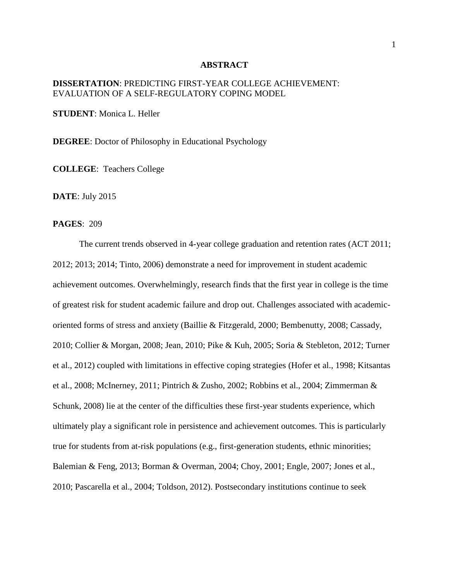## **ABSTRACT**

## **DISSERTATION**: PREDICTING FIRST-YEAR COLLEGE ACHIEVEMENT: EVALUATION OF A SELF-REGULATORY COPING MODEL

**STUDENT**: Monica L. Heller

**DEGREE**: Doctor of Philosophy in Educational Psychology

**COLLEGE**: Teachers College

**DATE**: July 2015

## **PAGES**: 209

The current trends observed in 4-year college graduation and retention rates (ACT 2011; 2012; 2013; 2014; Tinto, 2006) demonstrate a need for improvement in student academic achievement outcomes. Overwhelmingly, research finds that the first year in college is the time of greatest risk for student academic failure and drop out. Challenges associated with academicoriented forms of stress and anxiety (Baillie & Fitzgerald, 2000; Bembenutty, 2008; Cassady, 2010; Collier & Morgan, 2008; Jean, 2010; Pike & Kuh, 2005; Soria & Stebleton, 2012; Turner et al., 2012) coupled with limitations in effective coping strategies (Hofer et al., 1998; Kitsantas et al., 2008; McInerney, 2011; Pintrich & Zusho, 2002; Robbins et al., 2004; Zimmerman & Schunk, 2008) lie at the center of the difficulties these first-year students experience, which ultimately play a significant role in persistence and achievement outcomes. This is particularly true for students from at-risk populations (e.g., first-generation students, ethnic minorities; Balemian & Feng, 2013; Borman & Overman, 2004; Choy, 2001; Engle, 2007; Jones et al., 2010; Pascarella et al., 2004; Toldson, 2012). Postsecondary institutions continue to seek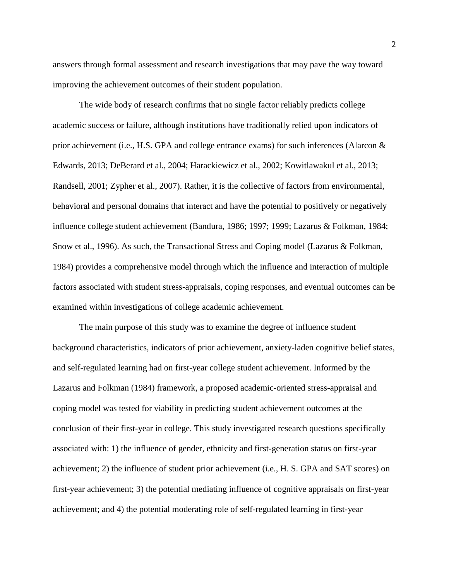answers through formal assessment and research investigations that may pave the way toward improving the achievement outcomes of their student population.

The wide body of research confirms that no single factor reliably predicts college academic success or failure, although institutions have traditionally relied upon indicators of prior achievement (i.e., H.S. GPA and college entrance exams) for such inferences (Alarcon & Edwards, 2013; DeBerard et al., 2004; Harackiewicz et al., 2002; Kowitlawakul et al., 2013; Randsell, 2001; Zypher et al., 2007). Rather, it is the collective of factors from environmental, behavioral and personal domains that interact and have the potential to positively or negatively influence college student achievement (Bandura, 1986; 1997; 1999; Lazarus & Folkman, 1984; Snow et al., 1996). As such, the Transactional Stress and Coping model (Lazarus & Folkman, 1984) provides a comprehensive model through which the influence and interaction of multiple factors associated with student stress-appraisals, coping responses, and eventual outcomes can be examined within investigations of college academic achievement.

The main purpose of this study was to examine the degree of influence student background characteristics, indicators of prior achievement, anxiety-laden cognitive belief states, and self-regulated learning had on first-year college student achievement. Informed by the Lazarus and Folkman (1984) framework, a proposed academic-oriented stress-appraisal and coping model was tested for viability in predicting student achievement outcomes at the conclusion of their first-year in college. This study investigated research questions specifically associated with: 1) the influence of gender, ethnicity and first-generation status on first-year achievement; 2) the influence of student prior achievement (i.e., H. S. GPA and SAT scores) on first-year achievement; 3) the potential mediating influence of cognitive appraisals on first-year achievement; and 4) the potential moderating role of self-regulated learning in first-year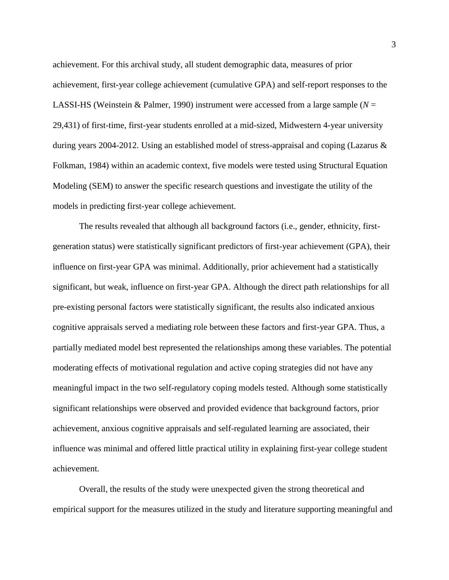achievement. For this archival study, all student demographic data, measures of prior achievement, first-year college achievement (cumulative GPA) and self-report responses to the LASSI-HS (Weinstein & Palmer, 1990) instrument were accessed from a large sample ( $N =$ 29,431) of first-time, first-year students enrolled at a mid-sized, Midwestern 4-year university during years 2004-2012. Using an established model of stress-appraisal and coping (Lazarus & Folkman, 1984) within an academic context, five models were tested using Structural Equation Modeling (SEM) to answer the specific research questions and investigate the utility of the models in predicting first-year college achievement.

The results revealed that although all background factors (i.e., gender, ethnicity, firstgeneration status) were statistically significant predictors of first-year achievement (GPA), their influence on first-year GPA was minimal. Additionally, prior achievement had a statistically significant, but weak, influence on first-year GPA. Although the direct path relationships for all pre-existing personal factors were statistically significant, the results also indicated anxious cognitive appraisals served a mediating role between these factors and first-year GPA. Thus, a partially mediated model best represented the relationships among these variables. The potential moderating effects of motivational regulation and active coping strategies did not have any meaningful impact in the two self-regulatory coping models tested. Although some statistically significant relationships were observed and provided evidence that background factors, prior achievement, anxious cognitive appraisals and self-regulated learning are associated, their influence was minimal and offered little practical utility in explaining first-year college student achievement.

Overall, the results of the study were unexpected given the strong theoretical and empirical support for the measures utilized in the study and literature supporting meaningful and